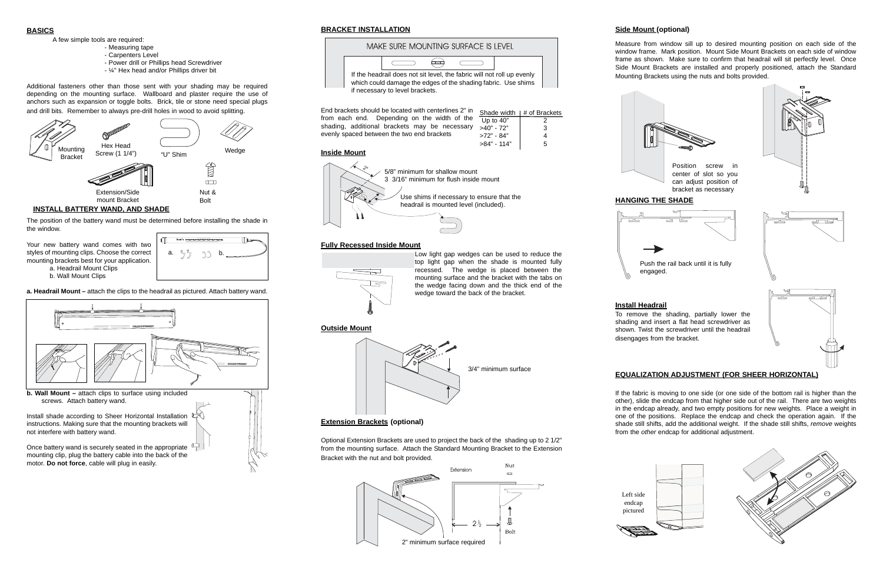### **Side Mount (optional)**

Measure from window sill up to desired mounting position on each side of the window frame. Mark position. Mount Side Mount Brackets on each side of window frame as shown. Make sure to confirm that headrail will sit perfectly level. Once Side Mount Brackets are installed and properly positioned, attach the Standard Mounting Brackets using the nuts and bolts provided.

## **Install Headrail**

## **EQUALIZATION ADJUSTMENT (FOR SHEER HORIZONTAL)**

If the fabric is moving to one side (or one side of the bottom rail is higher than the other), slide the endcap from that higher side out of the rail. There are two weights in the endcap already, and two empty positions for new weights. Place a weight in one of the positions. Replace the endcap and check the operation again. If the shade still shifts, add the additional weight. If the shade still shifts, *remove* weights from the *other* endcap for additional adjustment.



#### **BRACKET INSTALLATION**



Install shade according to Sheer Horizontal Installation  $\mathbb{Q}$ instructions. Making sure that the mounting brackets will not interfere with battery wand.

#### **Inside Mount**

#### **Fully Recessed Inside Mount**





#### **Extension Brackets (optional)**

Optional Extension Brackets are used to project the back of the shading up to 2 1/2" from the mounting surface. Attach the Standard Mounting Bracket to the Extension Bracket with the nut and bolt provided.

#### **BASICS**

A few simple tools are required:

- Measuring tape
- Carpenters Level
- Power drill or Phillips head Screwdriver
- ¼" Hex head and/or Phillips driver bit

Additional fasteners other than those sent with your shading may be required depending on the mounting surface. Wallboard and plaster require the use of anchors such as expansion or toggle bolts. Brick, tile or stone need special plugs and drill bits. Remember to always pre-drill holes in wood to avoid splitting.



Your new battery wand comes with two styles of mounting clips. Choose the correct mounting brackets best for your application. a. Headrail Mount Clips b. Wall Mount Clips

**a. Headrail Mount –** attach the clips to the headrail as pictured. Attach battery wand.



End brackets should be located with centerlines 2" in from each end. Depending on the width of the shading, additional brackets may be necessary evenly spaced between the two end brackets Shade width  $|$  # of Brackets Up to  $40^{\degree}$  2  $>40" - 72"$  3 >72" - 84" 4

Once battery wand is securely seated in the appropriate mounting clip, plug the battery cable into the back of the motor. **Do not force**, cable will plug in easily.



If the headrail does not sit level, the fabric will not roll up evenly which could damage the edges of the shading fabric. Use shims if necessary to level brackets.



Low light gap wedges can be used to reduce the top light gap when the shade is mounted fully recessed. The wedge is placed between the mounting surface and the bracket with the tabs on the wedge facing down and the thick end of the wedge toward the back of the bracket.









>84" - 114" 5

#### **INSTALL BATTERY WAND, AND SHADE**

The position of the battery wand must be determined before installing the shade in the window.



Left side endcap pictured